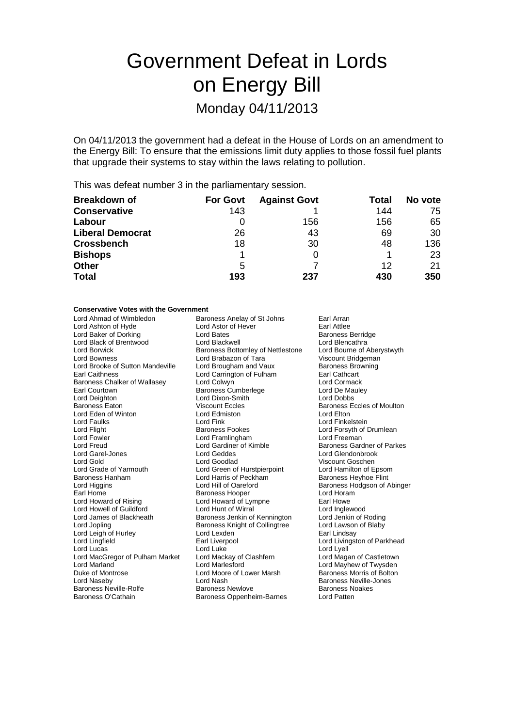# Government Defeat in Lords on Energy Bill Monday 04/11/2013

On 04/11/2013 the government had a defeat in the House of Lords on an amendment to the Energy Bill: To ensure that the emissions limit duty applies to those fossil fuel plants that upgrade their systems to stay within the laws relating to pollution.

This was defeat number 3 in the parliamentary session.

| <b>Breakdown of</b>     | <b>For Govt</b> | <b>Against Govt</b> | Total | No vote |
|-------------------------|-----------------|---------------------|-------|---------|
| <b>Conservative</b>     | 143             |                     | 144   | 75      |
| Labour                  | O               | 156                 | 156   | 65      |
| <b>Liberal Democrat</b> | 26              | 43                  | 69    | 30      |
| <b>Crossbench</b>       | 18              | 30                  | 48    | 136     |
| <b>Bishops</b>          |                 |                     |       | 23      |
| <b>Other</b>            | 5               |                     | 12    | 21      |
| <b>Total</b>            | 193             | 237                 | 430   | 350     |

## **Conservative Votes with the Government**<br>Lord Ahmad of Wimbledon Bard

Lord Eden of Winton Lord Edminster Lord Edminster Lord Edminster Lord Enk<br>
Lord Faulks Lord Fowler **Lord Framlingham**<br>
Lord Freud **Lord Freud**Lord Gardiner of Kimble Baroness Hanham Lord Harris of Peckham<br>
Lord Higgins Flord Hill of Oareford Lord Leigh of Hurley Lord MacGregor of Pulham Market Lord Mackay of<br>Lord Marland Clashfern Lord Marlesford Duke of Montrose Lord Moore of Lower Marsh

Baroness Anelay of St Johns Earl Arran<br>Lord Astor of Hever Earl Attlee Lord Ashton of Hyde Lord Astor of Hever Hever Earl Attlee<br>
Lord Baker of Dorking Lord Bates Lord Bates<br>
Lord Baker of Dorking Lord Bates Lord Baker of Dorking **Lord Bates** Lord Bates Berridge Baroness Berrid<br>
Lord Black of Brentwood **Lord Blackwell** Lord Blencathra Lord Black of Brentwood Lord Blackwell **Lord Black Cord Blackwell** Lord Blencathra<br>
Lord Borwick **Cord Bout Baroness Bottomley of Nettlestone** Lord Bourne of Aberystwyth Lord Borwick **Baroness Bottomley of Nettlestone** Lord Bourne of Aber<br>Lord Bowness **Barone Lord Brabazon of Tara** Viscount Bridgeman Lord Brabazon of Tara Viscount Bridgeman<br>
Lord Brougham and Vaux Baroness Browning Lord Brooke of Sutton Mandeville Lord Brougham and Vaux Baroness Browning Baroness Browning Cord Carrington of Fulham Earl Cathcart Lord Carrington of Fulham Earl Cathcart<br>
Lord Colwyn **Earl Cathcart** Baroness Chalker of Wallasey Lord Colwyn Collection Cormack<br>
Earl Courtown Cormack Baroness Cumberlege Corpution Lord De Mauley Earl Courtown **Early Courtown** Baroness Cumberlege **Lord De Maule Lord De Maule Courtown**<br>
Lord Deighton **Court Court Court Court Court Court Court Court Court Court Court Court Court Court Court Court Court Court Court Co** Lord Dixon-Smith Baroness Eaton **Baroness Eccles** Viscount Eccles Baroness Eccles of Moulton<br>
Baroness Eccles of Moulton<br>
Lord Edmiston **Baroness** Lord Elton Lord Faulks Lord Fink Lord Finkelstein Lord Flight **Baroness Fookes** Lord Forsyth of Drumlean<br>
Lord Formula Lord Forsyth Cord Framlingham<br>
Lord Formula Lord Freeman Lord Gardiner of Kimble Baroness Gardner of Parkes<br>
Lord Geddes<br>
Lord Glendonbrook Lord Garel-Jones Lord Geddes Lord Glendonbrook Lord Gold Coodlad Lord Goodlad Coodlach Corporation Coodlach Coodlach Coodlach Coodlach Coodlach Coodlach Cood<br>
Lord Grade of Yarmouth Lord Green of Hurstpierpoint Lord Hamilton of Epsom Lord Grade of Yarmouth Lord Green of Hurstpierpoint Lord Hamilton of Epsom Earl Home **Baroness Hooper** Cord Horam<br>
Lord Howard of Rising **Baroness Hooper** Cympne **Carl Howe** Earl Howe Lord Howard of Lympne Farl Howe<br>
Lord Hunt of Wirral **Earl Howard Lord Inglewood** Lord Howell of Guildford Lord Hunt of Wirral Lord Hunt of Lord Inglewood<br>
Lord James of Blackheath Baroness Jenkin of Kennington Lord Jenkin of Roding Lord James of Blackheath Baroness Jenkin of Kennington Lord Jenkin of Roding<br>Lord Jopling Baroness Knight of Collingtree Lord Lawson of Blaby Baroness Knight of Collingtree Lord Lawson<br>Lord Lexden **Black** Earl Lindsay Lord Lingfield **Earl Liverpool** Earl Liverpool **Lord Livingston of Parkhead** Lord Lucas Lord Luke Lord Luke Lord Lord Lord Lyell<br>Lord MacGregor of Pulham Market Lord Mackay of Clashfern Lord Magan of Castletown Lord Naseby **Lord Nash Community Community** Lord Nash Baroness Neville-Jones<br>
Baroness Neville-Rolfe **Baroness Newlove** Baroness Noakes Baroness Neville-Rolfe Baroness Newlove Baroness Newlove Baroness Newlove Baroness Newlove Baroness N<br>Baroness O'Cathain Baroness Oppenheim-Barnes Lord Patten Baroness Oppenheim-Barnes

Baroness Hodgson of Abinger Lord Mayhew of Twysden<br>Baroness Morris of Bolton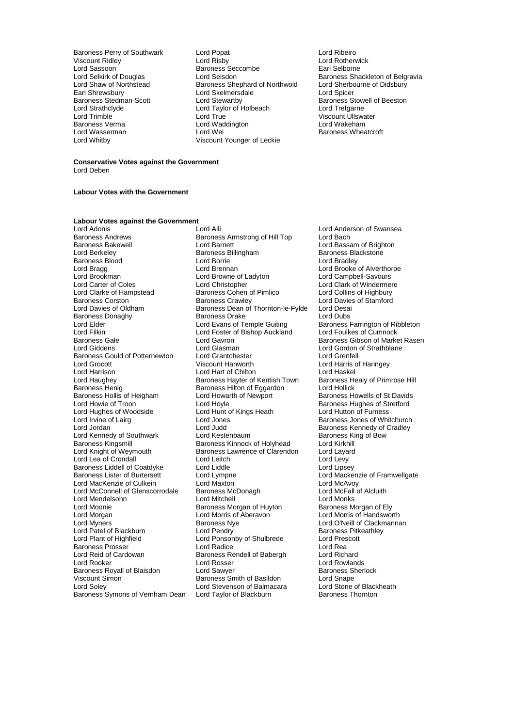Lord Sassoon Baroness Seccombe<br>
Lord Selskirk of Douglas<br>
Lord Selsdon Earl Shrewsbury **Lord Skelmersdale**<br> **Baroness Stedman-Scott** Lord Stewartby Lord Strathclyde Lord Taylor of Holbeach<br>
Lord Trimble Lord True<br>
Lord True Baroness Verma<br>
Lord Wasserman<br>
Lord Wei

Baroness Perry of Southwark Lord Popat Lord Ribeiro Viscount Ridley **Communist Control Control Control Control Control Control Control Control Control Control Control Control Control Control Control Control Control Control Control Control Control Control Control Control Con** Lord Selkirk of Douglas Lord Selsdon<br>
Lord Shaw of Northstead Baroness Shephard of Northwold Lord Sherbourne of Didsbury Lord Shaw of Northstead Baroness Shephard of Northwold Lord Sherbourne Charles Contract Lord Sherbourne Charles<br>Earl Shrewsbury Lord Skelmersdale Lord Spicer Baroness Stedman-Scott **Lord Stewartby** Baroness Stowell of Beeston<br>
Lord Strathclyde **Baroness** Stowell of Beeston<br>
Lord Trefgarne Lord Trimble Lord True Lord True Lord True Viscount Ullswater<br>
Raroness Verma Lord Waddington Lord Wakeham Lord Wasserman Lord Wei Lord Wei Baroness Wheatcroft<br>
Lord Whitby Viscount Younger of Leckie Viscount Younger of Leckie

#### **Conservative Votes against the Government** Lord Deben

#### **Labour Votes with the Government**

## **Labour Votes against the Government**<br>Lord Adonis

Baroness Andrews **Baroness Armstrong of Hill Top**<br>Baroness Bakewell **Baroness Armstrong Contract** Baroness Blood and Lord Borrie<br>
Lord Bragg<br>
Lord Brennan Lord Brookman Lord Browne of Ladyton<br>
Lord Carter of Coles<br>
Lord Christopher Lord Clarke of Hampstead Baroness Cohen of Pimlico<br>Baroness Corston Baroness Crawley Baroness Donaghy Baroness Drake<br>
Lord Elder<br>
Lord Evans of Temple Guiting Lord Filkin Lord Foster of Bishop Auckland<br>Baroness Gale Cumnock Lord Gavron Baroness Gould of Potternewton Lord Grantchester<br>
Lord Grocott Cord Creation Creation Baroness Hollis of Heigham<br>Lord Howie of Troon Lord Hughes of Woodside Lord Hunt c<br>
Lord Irvine of Lairg<br>
Lord Jones Baroness Liddell of Coatdyke Lord Liddle<br>
Baroness Lister of Burtersett Lord Lympne Lord Moonie **Baroness Morgan of Huyton Lord Morgan Corporation**<br>
Baroness Morgan **Corporation Baroness Morgan Corporation** Lord Reid of Cardowan Baroness Rendell of Babergh<br>Lord Rooker Lord Rosser Baroness Royall of Blaisdon Baroness Symons of Vernham Dean

Lord Adonis **Lord Alli** Lord Alli Lord Anderson of Swansea<br>
Baroness Andrews **Baroness Armstrong of Hill Top** Lord Bach Baroness Bakewell **Exercise School Lord Barnett** Lord Baroness Bakewell Lord Baroness Blackstone<br>
Baroness Baroness Billingham<br>
Baroness Blackstone Baroness Billingham Baroness Blackstone<br>
Lord Borrie Baroness Blackstone<br>
Lord Bradley Lord Bragg Lord Brennan Lord Brennan Lord Brooke of Alverthorpe<br>
Lord Brookman Lord Brooke Lord Browne of Ladyton Lord Campbell-Savours Lord Carter of Coles Lord Christopher Lord Clark of Windermere<br>
Lord Clarke of Hampstead Baroness Cohen of Pimlico Lord Collins of Highbury Baroness Corston **Baroness Crawley** Lord Davies of Stamford<br>
Lord Davies of Oldham Baroness Dean of Thornton-le-Fylde Lord Desai Baroness Dean of Thornton-le-Fylde Lord Desai<br>Baroness Drake Lord Dubs Lord Elder Lord Evans of Temple Guiting Baroness Farrington of Ribbleton<br>Lord Filkin Lord Foster of Bishop Auckland Lord Foulkes of Cumnock Baroness Gale **Lord Gavron** Carron Baroness Gibson of Market Rasen<br>
Lord Giddens Lord Gasman Lord Gordon of Strathblane Lord Glasman **Lord Gordon of Strathblane**<br>
Lord Grantchester
Lord Grenfell Lord Grocott Viscount Hanworth Lord Harris of Haringey Lord Harrison **Lord Hart of Chilton Club Lord Haskel**<br>
Lord Haughey **Club Baroness Hayter of Kentish Town** Baroness Healy of Primrose Hill Lord Haughey **Baroness Hayter of Kentish Town** Baroness Henrich Baroness Healy Charoness Hilton of Eggardon<br>Baroness Henig **Barones Hilton of Eggardon** Lord Hollick Baroness Hilton of Eggardon Lord Hollick<br>
Lord Howarth of Newport Baroness Howells of St Davids Lord Hoyle<br>
Lord Hunt of Kings Heath **Example 2** Lord Hutton of Furness Lord Irvine of Lairg **Lord Lord Jones** Cord Cord Cord Cord Cord Baroness Jones of Whitchurch<br>
Lord Jord Access Cord Lord Judd Baroness Kennedy of Cradley Lord Kennedy of Southwark Lord Kestenbaum Cord Kestenbaum Baroness King of Bow<br>Baroness Kingsmill Baroness Kinnock of Holyhead Lord Kirkhill Baroness Kingsmill **Baroness Kinnock of Holyhead** Lord Kirkhill<br>
Lord Knight of Weymouth **Baroness Lawrence of Clarendon** Lord Lavard Baroness Lawrence of Clarendon Lord Laya<br>Lord Leitch Lord Levy Lord Lea of Crondall Lord Leitch Lord Levy<br>
Baroness Liddell of Coatdyke Lord Liddle Lord Linsey Lord Lympne<br>
Lord Maxton<br>
Lord Mackenzie of Framwellgate<br>
Lord McAvoy Lord MacKenzie of Culkein Lord Maxton Lord Maxton Lord McAvoy<br>
Lord McConnell of Glenscorrodale Baroness McDonagh Lord McFall of Alcluith Lord McConnell of Glenscorrodale Baroness McDonagh Lord McFall Lord McFall Cord McFall Cord Monks Lord Mendelsohn **Lord Mitchell** Lord Mitchell **Lord Monks**<br>
Lord Moonie **Lord Monks**<br>
Lord Moonie **Concess Monks** Baroness Morgan of Huvton **Concess Monks** Baroness Morgan of Elv Lord Morgan Lord Morris of Aberavon Lord Morris of Handsworth Example Baroness Nye Lord O'Neill of Clackmannan<br>
Lord Pendry Corporation Clare Baroness Pitkeathley Lord Patel of Blackburn Lord Pendry Cord Pendry Baroness Pitk<br>
Lord Plant of Highfield Lord Ponsonby of Shulbrede Lord Prescott Lord Ponsonby of Shulbrede Lord Pres<br>
Lord Radice Lord Rea Baroness Prosser **Exercise Seart Cord Radice** Lord Realth Realth Cord Realth Realth Lord Realth Lord Richard<br>
Lord Reid of Cardowan **Baroness Rendell of Babergh** Lord Richard Lord Rosser **Lord Rowlands**<br>
Lord Sawyer **Lord Sales Rowlands**<br>
Baroness Sherlock Viscount Simon **Carolic State Baroness** Smith of Basildon **Carolic Contract Contract Contract Contract** Lord State Lord Stone of Blackheath Lord Stevenson of Balmacara Lord Stone of Black<br>
Lord Taylor of Blackburn Baroness Thornton

Baroness Kennedy of Cradley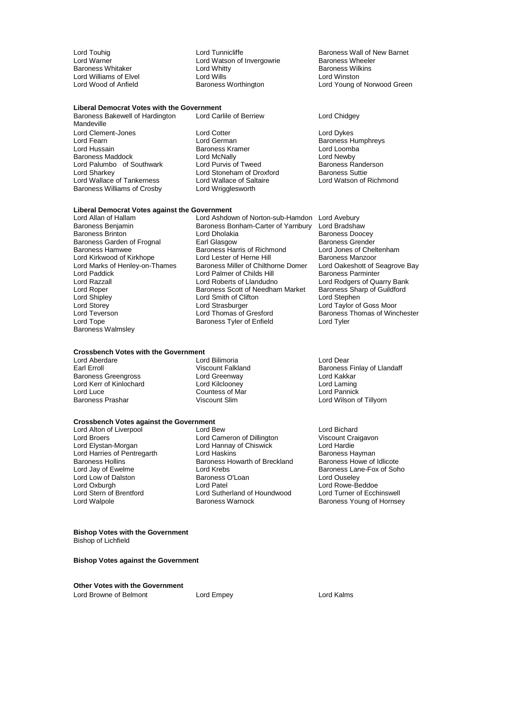Baroness Whitaker Lord Whitty Baroness Wilkins Lord Williams of Elvel **Lord Wills**<br>
Lord Wood of Anfield **Lord Baroness Worthington** 

## **Liberal Democrat Votes with the Government**

Baroness Bakewell of Hardington Lord Carlile of Berriew Lord Chidgey

Mandeville Lord Clement-Jones Lord Cotter Lord Dykes Lord Fearn Lord German Baroness Humphreys Baroness Maddock Lord McNally<br>
Lord Palumbo of Southwark Lord Purvis of Tweed Lord Palumbo of Southwark Lord Purvis of Tweed Baroness Randerson Baroness Randerson Lord Stoneham of Droxford Baroness Suttie Lord Wallace of Tankerness Lord Wallace of Salt<br>Baroness Williams of Crosby Lord Wrigglesworth Baroness Williams of Crosby

Baroness Kramer Lord Loomba<br>
Lord McNally Lord Newby<br>
Lord Purvis of Tweed Baroness Randerson Lord Stoneham of Droxford<br>
Lord Wallace of Saltaire<br>
Lord Watson of Richmond

## **Liberal Democrat Votes against the Government**

Lord Allan of Hallam **Lord Ashdown of Norton-sub-Hamdon** Lord Avebury<br>Baroness Beniamin Baroness Bonham-Carter of Yarnbury Lord Bradsha Baroness Benjamin Baroness Bonham-Carter of Yarnbury Lord Bradshaw Baroness Garden of Frognal Earl Glasgow Baroness Grender<br>Baroness Hamwee Baroness Harris of Richmond Lord Jones of Cheltenham Lord Marks of Henley-on-Thames Baroness Miller of Chilthorne Domer Lord Oakeshott of S<br>Lord Palmer of Childs Hill Baroness Parminter Lord Paddick Lord Palmer of Childs Hill<br>Lord Razzall Baroness Parminter Parminters Parminters Parminters Parminters Parminters Parminters Parminters Lord Razzall Lord Roberts of Llandudno Lord Rodgers of Quarry Bank Lord Roper **Baroness Scott of Needham Market Baroness Sharp of Accord Sharp of Contains Accord Strephen**<br>
Lord Smith of Clifton **Contains Contains Accord Strephen** Lord Shipley **Lord Smith of Clifton**<br>
Lord Storey **Lord Strasburger** Lord Storey Lord Strasburger Lord Taylor of Goss Moor Baroness Walmsley

### **Crossbench Votes with the Government**<br>Lord Aberdare Lor

Lord Aberdare Lord Bilimoria Lord Dear Baroness Greengross Lord Greenway Lord Kakkar Lord Kerr of Kinlochard Lord Kilclooney Lord Laming Lord Luce Countess of Mar Countess of Mar Baroness Prashar Countess of Mar Countess of Mar Countess of Mar Countess of Mar Countess of Mar Countess of Mar Countess of Mar Countess of Mar Countess of Mar Countess of Mar Cou

Baroness Tyler of Enfield

## **Crossbench Votes against the Government**<br>Lord Alton of Liverpool **Lord Bew**

Lord Low of Dalston Baroness (<br>
Lord Oxburgh Constant Lord Patel

Lord Alton of Liverpool Lord Bew Lord Bichard Lord Bichard<br>
Lord Broers Lord Cameron of Dillington Viscount Craigavon Lord Broers **Lord Cameron of Dillington** Viscount Craigat Craigation Craigavon Craigavon Craigavon Craigavon Craigavon Viscount Craigavon Craigavon Craigavon Craigavon Craigavon Craigavon Craigavon Craigavon Craigavon Crai Lord Hannay of Chiswick<br>
Lord Haskins<br>
Lord Haskins Chiswick Lord Baroness Hayman Lord Harries of Pentregarth **Lord Haskins** Lord Haskins Baroness Hayman<br>Baroness Hollins Baroness Howarth of Breckland Baroness Howe of Idlicote Baroness Hollins Baroness Howarth of Breckland<br>
Lord Jay of Ewelme Lord Krebs Lord Krebs **Baroness Lane-Fox of Soho**<br>
Baroness O'Loan **Baroness Lord Ouseley** Lord Oxburgh Lord Patel Lord Rowe-Beddoe Lord Stern of Brentford Lord Sutherland of Houndwood<br>
Lord Walpole Cord Curren Baroness Warnock

Lord Touhig **Lord Tunnicliffe** Baroness Wall of New Barnet<br>
Lord Warner **Lord Watson of Invergowrie** Baroness Wheeler Lord Watson of Invergowrie **Baroness Wheelers**<br>Lord Whitty **Baroness Wilkins** Lord Young of Norwood Green

Lord Dholakia **Baroness Doocey**<br>
Earl Glasgow **Baroness Grender** Baroness Harris of Richmond Lord Jones of Chelt<br>Lord Lester of Herne Hill Baroness Manzoor Lord Kirkwood of Kirkhope Lord Lester of Herne Hill Baroness Manzoor<br>
Lord Marks of Henley-on-Thames Baroness Miller of Chilthorne Domer Lord Oakeshott of Seagrove Bay Lord Teverson Lord Thomas of Gresford Baroness Thomas of Winchester<br>
Lord Tope Cord Tyler Baroness Tyler of Enfield Lord Tyler

> Viscount Falkland Baroness Finlay of Llandaff<br>
> Lord Greenway **Baroness** Lord Kakkar Lord Wilson of Tillyorn

> > Baroness Young of Hornsey

#### **Bishop Votes with the Government** Bishop of Lichfield

### **Bishop Votes against the Government**

**Other Votes with the Government** Lord Browne of Belmont **Lord Empey Lord Empey Lord Kalms**